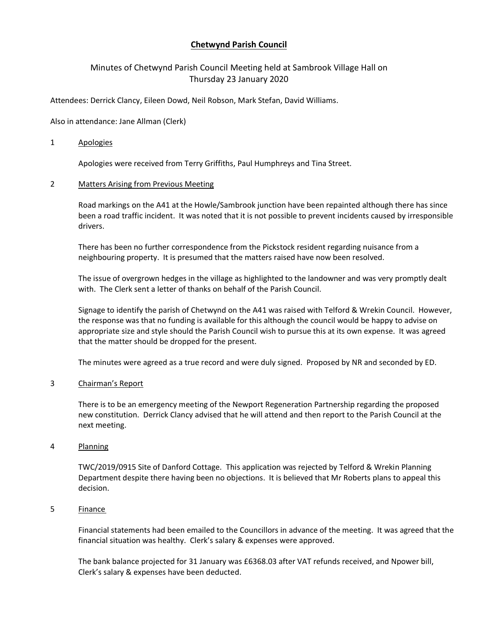# **Chetwynd Parish Council**

# Minutes of Chetwynd Parish Council Meeting held at Sambrook Village Hall on Thursday 23 January 2020

Attendees: Derrick Clancy, Eileen Dowd, Neil Robson, Mark Stefan, David Williams.

Also in attendance: Jane Allman (Clerk)

### 1 Apologies

Apologies were received from Terry Griffiths, Paul Humphreys and Tina Street.

# 2 Matters Arising from Previous Meeting

Road markings on the A41 at the Howle/Sambrook junction have been repainted although there has since been a road traffic incident. It was noted that it is not possible to prevent incidents caused by irresponsible drivers.

There has been no further correspondence from the Pickstock resident regarding nuisance from a neighbouring property. It is presumed that the matters raised have now been resolved.

The issue of overgrown hedges in the village as highlighted to the landowner and was very promptly dealt with. The Clerk sent a letter of thanks on behalf of the Parish Council.

Signage to identify the parish of Chetwynd on the A41 was raised with Telford & Wrekin Council. However, the response was that no funding is available for this although the council would be happy to advise on appropriate size and style should the Parish Council wish to pursue this at its own expense. It was agreed that the matter should be dropped for the present.

The minutes were agreed as a true record and were duly signed. Proposed by NR and seconded by ED.

#### 3 Chairman's Report

There is to be an emergency meeting of the Newport Regeneration Partnership regarding the proposed new constitution. Derrick Clancy advised that he will attend and then report to the Parish Council at the next meeting.

### 4 Planning

TWC/2019/0915 Site of Danford Cottage. This application was rejected by Telford & Wrekin Planning Department despite there having been no objections. It is believed that Mr Roberts plans to appeal this decision.

# 5 Finance

Financial statements had been emailed to the Councillors in advance of the meeting. It was agreed that the financial situation was healthy. Clerk's salary & expenses were approved.

The bank balance projected for 31 January was £6368.03 after VAT refunds received, and Npower bill, Clerk's salary & expenses have been deducted.